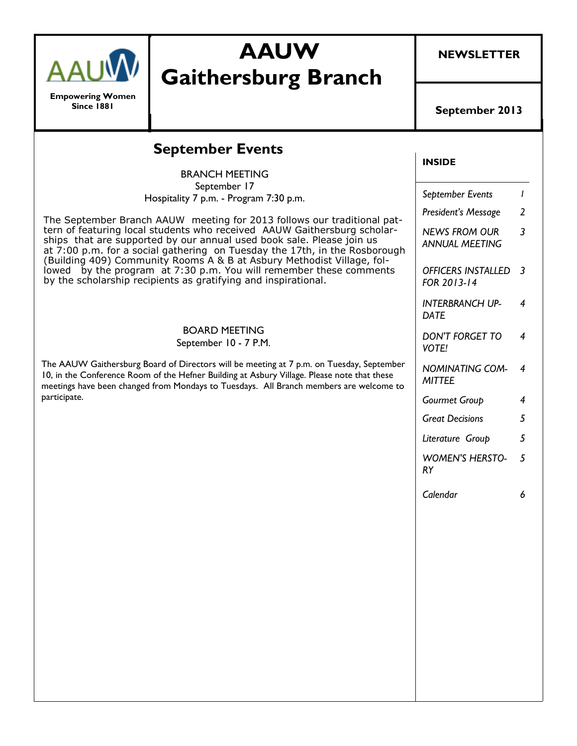|                                              | <b>AAUW</b><br><b>Gaithersburg Branch</b>                                                                                                                                                                                                                                                                                                                                                                                                                                                                                                                                                                                                                                                                                                                                                                                                                                                                                                             | <b>NEWSLETTER</b>                                                                                                                                                                                                                                                                                                                                                        |                                                 |
|----------------------------------------------|-------------------------------------------------------------------------------------------------------------------------------------------------------------------------------------------------------------------------------------------------------------------------------------------------------------------------------------------------------------------------------------------------------------------------------------------------------------------------------------------------------------------------------------------------------------------------------------------------------------------------------------------------------------------------------------------------------------------------------------------------------------------------------------------------------------------------------------------------------------------------------------------------------------------------------------------------------|--------------------------------------------------------------------------------------------------------------------------------------------------------------------------------------------------------------------------------------------------------------------------------------------------------------------------------------------------------------------------|-------------------------------------------------|
| <b>Empowering Women</b><br><b>Since 1881</b> |                                                                                                                                                                                                                                                                                                                                                                                                                                                                                                                                                                                                                                                                                                                                                                                                                                                                                                                                                       | September 2013                                                                                                                                                                                                                                                                                                                                                           |                                                 |
|                                              | <b>INSIDE</b>                                                                                                                                                                                                                                                                                                                                                                                                                                                                                                                                                                                                                                                                                                                                                                                                                                                                                                                                         |                                                                                                                                                                                                                                                                                                                                                                          |                                                 |
| participate.                                 | <b>BRANCH MEETING</b><br>September 17<br>Hospitality 7 p.m. - Program 7:30 p.m.<br>The September Branch AAUW meeting for 2013 follows our traditional pat-<br>tern of featuring local students who received AAUW Gaithersburg scholar-<br>ships that are supported by our annual used book sale. Please join us<br>at 7:00 p.m. for a social gathering on Tuesday the 17th, in the Rosborough<br>(Building 409) Community Rooms A & B at Asbury Methodist Village, fol-<br>lowed by the program at 7:30 p.m. You will remember these comments<br>by the scholarship recipients as gratifying and inspirational.<br><b>BOARD MEETING</b><br>September 10 - 7 P.M.<br>The AAUW Gaithersburg Board of Directors will be meeting at 7 p.m. on Tuesday, September<br>10, in the Conference Room of the Hefner Building at Asbury Village. Please note that these<br>meetings have been changed from Mondays to Tuesdays. All Branch members are welcome to | September Events<br>President's Message<br><b>NEWS FROM OUR</b><br><b>ANNUAL MEETING</b><br><b>OFFICERS INSTALLED</b><br>FOR 2013-14<br><b>INTERBRANCH UP-</b><br><b>DATE</b><br><b>DON'T FORGET TO</b><br><b>VOTE!</b><br><b>NOMINATING COM-</b><br><b>MITTEE</b><br>Gourmet Group<br><b>Great Decisions</b><br>Literature Group<br><b>WOMEN'S HERSTO-</b><br><b>RY</b> | 2<br>3<br>-3<br>4<br>4<br>4<br>4<br>5<br>5<br>5 |
|                                              |                                                                                                                                                                                                                                                                                                                                                                                                                                                                                                                                                                                                                                                                                                                                                                                                                                                                                                                                                       | Calendar                                                                                                                                                                                                                                                                                                                                                                 | 6                                               |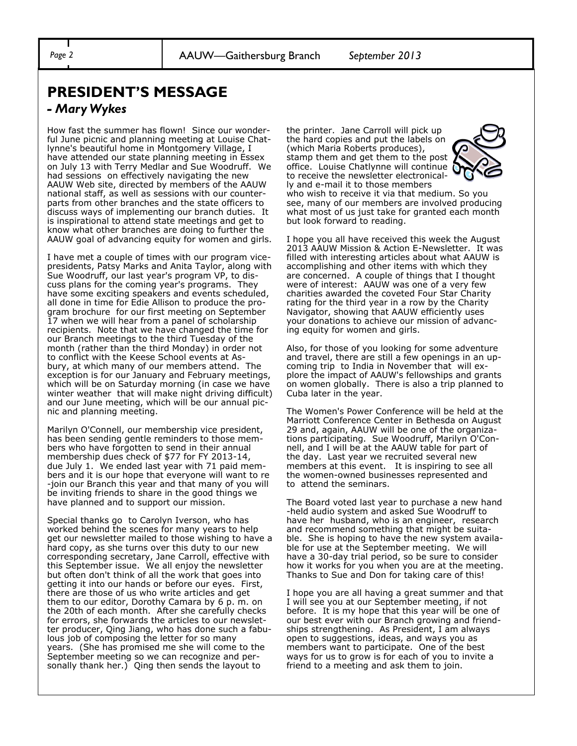## **PRESIDENT'S MESSAGE**

#### *- Mary Wykes*

How fast the summer has flown! Since our wonderful June picnic and planning meeting at Louise Chatlynne's beautiful home in Montgomery Village, I have attended our state planning meeting in Essex on July 13 with Terry Medlar and Sue Woodruff. We had sessions on effectively navigating the new AAUW Web site, directed by members of the AAUW national staff, as well as sessions with our counterparts from other branches and the state officers to discuss ways of implementing our branch duties. It is inspirational to attend state meetings and get to know what other branches are doing to further the AAUW goal of advancing equity for women and girls.

I have met a couple of times with our program vicepresidents, Patsy Marks and Anita Taylor, along with Sue Woodruff, our last year's program VP, to discuss plans for the coming year's programs. They have some exciting speakers and events scheduled, all done in time for Edie Allison to produce the program brochure for our first meeting on September 17 when we will hear from a panel of scholarship recipients. Note that we have changed the time for our Branch meetings to the third Tuesday of the month (rather than the third Monday) in order not to conflict with the Keese School events at Asbury, at which many of our members attend. The exception is for our January and February meetings, which will be on Saturday morning (in case we have winter weather that will make night driving difficult) and our June meeting, which will be our annual picnic and planning meeting.

Marilyn O'Connell, our membership vice president, has been sending gentle reminders to those members who have forgotten to send in their annual membership dues check of \$77 for FY 2013-14, due July 1. We ended last year with 71 paid members and it is our hope that everyone will want to re -join our Branch this year and that many of you will be inviting friends to share in the good things we have planned and to support our mission.

Special thanks go to Carolyn Iverson, who has worked behind the scenes for many years to help get our newsletter mailed to those wishing to have a hard copy, as she turns over this duty to our new corresponding secretary, Jane Carroll, effective with this September issue. We all enjoy the newsletter but often don't think of all the work that goes into getting it into our hands or before our eyes. First, there are those of us who write articles and get them to our editor, Dorothy Camara by 6 p. m. on the 20th of each month. After she carefully checks for errors, she forwards the articles to our newsletter producer, Qing Jiang, who has done such a fabulous job of composing the letter for so many years. (She has promised me she will come to the September meeting so we can recognize and personally thank her.) Qing then sends the layout to

the printer. Jane Carroll will pick up the hard copies and put the labels on (which Maria Roberts produces), stamp them and get them to the post office. Louise Chatlynne will continue to receive the newsletter electronically and e-mail it to those members



who wish to receive it via that medium. So you see, many of our members are involved producing what most of us just take for granted each month but look forward to reading.

I hope you all have received this week the August 2013 AAUW Mission & Action E-Newsletter. It was filled with interesting articles about what AAUW is accomplishing and other items with which they are concerned. A couple of things that I thought were of interest: AAUW was one of a very few charities awarded the coveted Four Star Charity rating for the third year in a row by the Charity Navigator, showing that AAUW efficiently uses your donations to achieve our mission of advancing equity for women and girls.

Also, for those of you looking for some adventure and travel, there are still a few openings in an upcoming trip to India in November that will explore the impact of AAUW's fellowships and grants on women globally. There is also a trip planned to Cuba later in the year.

The Women's Power Conference will be held at the Marriott Conference Center in Bethesda on August 29 and, again, AAUW will be one of the organizations participating. Sue Woodruff, Marilyn O'Connell, and I will be at the AAUW table for part of the day. Last year we recruited several new members at this event. It is inspiring to see all the women-owned businesses represented and to attend the seminars.

The Board voted last year to purchase a new hand -held audio system and asked Sue Woodruff to have her husband, who is an engineer, research and recommend something that might be suitable. She is hoping to have the new system available for use at the September meeting. We will have a 30-day trial period, so be sure to consider how it works for you when you are at the meeting. Thanks to Sue and Don for taking care of this!

I hope you are all having a great summer and that I will see you at our September meeting, if not before. It is my hope that this year will be one of our best ever with our Branch growing and friendships strengthening. As President, I am always open to suggestions, ideas, and ways you as members want to participate. One of the best ways for us to grow is for each of you to invite a friend to a meeting and ask them to join.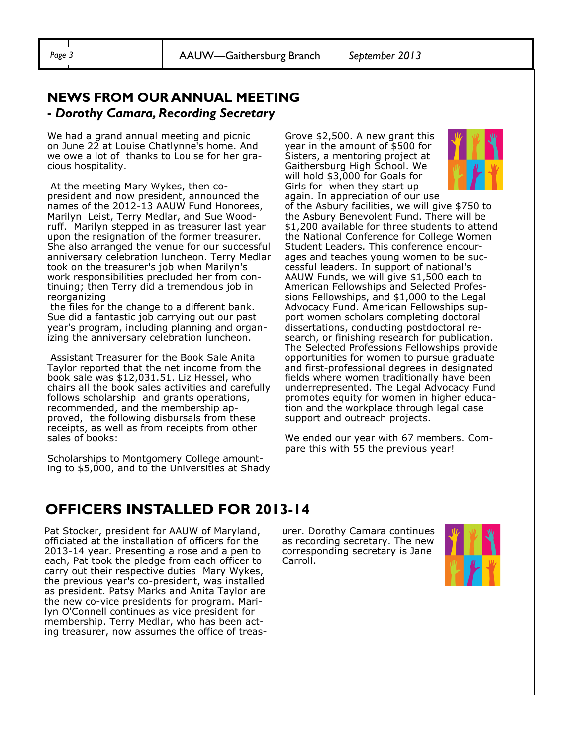#### **NEWS FROM OUR ANNUAL MEETING -** *Dorothy Camara, Recording Secretary*

We had a grand annual meeting and picnic on June 22 at Louise Chatlynne's home. And we owe a lot of thanks to Louise for her gracious hospitality.

At the meeting Mary Wykes, then copresident and now president, announced the names of the 2012-13 AAUW Fund Honorees, Marilyn Leist, Terry Medlar, and Sue Woodruff. Marilyn stepped in as treasurer last year upon the resignation of the former treasurer. She also arranged the venue for our successful anniversary celebration luncheon. Terry Medlar took on the treasurer's job when Marilyn's work responsibilities precluded her from continuing; then Terry did a tremendous job in reorganizing

the files for the change to a different bank. Sue did a fantastic job carrying out our past year's program, including planning and organizing the anniversary celebration luncheon.

Assistant Treasurer for the Book Sale Anita Taylor reported that the net income from the book sale was \$12,031.51. Liz Hessel, who chairs all the book sales activities and carefully follows scholarship and grants operations, recommended, and the membership approved, the following disbursals from these receipts, as well as from receipts from other sales of books:

Scholarships to Montgomery College amounting to \$5,000, and to the Universities at Shady Grove \$2,500. A new grant this year in the amount of \$500 for Sisters, a mentoring project at Gaithersburg High School. We will hold \$3,000 for Goals for Girls for when they start up again. In appreciation of our use



of the Asbury facilities, we will give \$750 to the Asbury Benevolent Fund. There will be \$1,200 available for three students to attend the National Conference for College Women Student Leaders. This conference encourages and teaches young women to be successful leaders. In support of national's AAUW Funds, we will give \$1,500 each to American Fellowships and Selected Professions Fellowships, and \$1,000 to the Legal Advocacy Fund. American Fellowships support women scholars completing doctoral dissertations, conducting postdoctoral research, or finishing research for publication. The Selected Professions Fellowships provide opportunities for women to pursue graduate and first-professional degrees in designated fields where women traditionally have been underrepresented. The Legal Advocacy Fund promotes equity for women in higher education and the workplace through legal case support and outreach projects.

We ended our year with 67 members. Compare this with 55 the previous year!

## **OFFICERS INSTALLED FOR 2013-14**

Pat Stocker, president for AAUW of Maryland, officiated at the installation of officers for the 2013-14 year. Presenting a rose and a pen to each, Pat took the pledge from each officer to carry out their respective duties Mary Wykes, the previous year's co-president, was installed as president. Patsy Marks and Anita Taylor are the new co-vice presidents for program. Marilyn O'Connell continues as vice president for membership. Terry Medlar, who has been acting treasurer, now assumes the office of treasurer. Dorothy Camara continues as recording secretary. The new corresponding secretary is Jane Carroll.

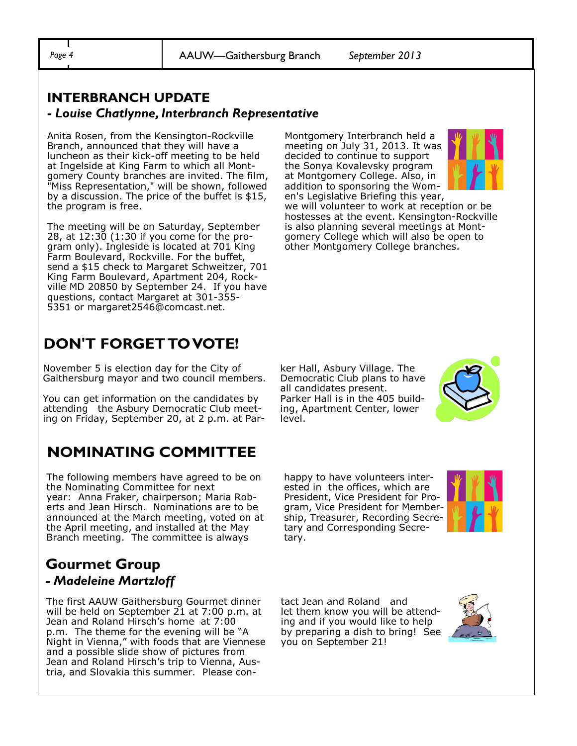*Page 4* AAUW—Gaithersburg Branch *September 2013*

#### **INTERBRANCH UPDATE -** *Louise Chatlynne, Interbranch Representative*

Anita Rosen, from the Kensington-Rockville Branch, announced that they will have a luncheon as their kick-off meeting to be held at Ingelside at King Farm to which all Montgomery County branches are invited. The film, "Miss Representation," will be shown, followed by a discussion. The price of the buffet is \$15, the program is free.

The meeting will be on Saturday, September 28, at 12:30 (1:30 if you come for the program only). Ingleside is located at 701 King Farm Boulevard, Rockville. For the buffet, send a \$15 check to Margaret Schweitzer, 701 King Farm Boulevard, Apartment 204, Rockville MD 20850 by September 24. If you have questions, contact Margaret at 301-355- 5351 or margaret2546@comcast.net.

# **DON'T FORGET TO VOTE!**

November 5 is election day for the City of Gaithersburg mayor and two council members.

You can get information on the candidates by attending the Asbury Democratic Club meeting on Friday, September 20, at 2 p.m. at Par-

## **NOMINATING COMMITTEE**

The following members have agreed to be on the Nominating Committee for next year: Anna Fraker, chairperson; Maria Roberts and Jean Hirsch. Nominations are to be announced at the March meeting, voted on at the April meeting, and installed at the May Branch meeting. The committee is always

### **Gourmet Group** *- Madeleine Martzloff*

The first AAUW Gaithersburg Gourmet dinner will be held on September 21 at 7:00 p.m. at Jean and Roland Hirsch's home at 7:00 p.m. The theme for the evening will be "A Night in Vienna," with foods that are Viennese and a possible slide show of pictures from Jean and Roland Hirsch's trip to Vienna, Austria, and Slovakia this summer. Please conMontgomery Interbranch held a meeting on July 31, 2013. It was decided to continue to support the Sonya Kovalevsky program at Montgomery College. Also, in addition to sponsoring the Women's Legislative Briefing this year,



we will volunteer to work at reception or be hostesses at the event. Kensington-Rockville is also planning several meetings at Montgomery College which will also be open to other Montgomery College branches.

ker Hall, Asbury Village. The Democratic Club plans to have all candidates present. Parker Hall is in the 405 building, Apartment Center, lower level.



happy to have volunteers interested in the offices, which are President, Vice President for Program, Vice President for Membership, Treasurer, Recording Secretary and Corresponding Secretary.



tact Jean and Roland and let them know you will be attending and if you would like to help by preparing a dish to bring! See you on September 21!

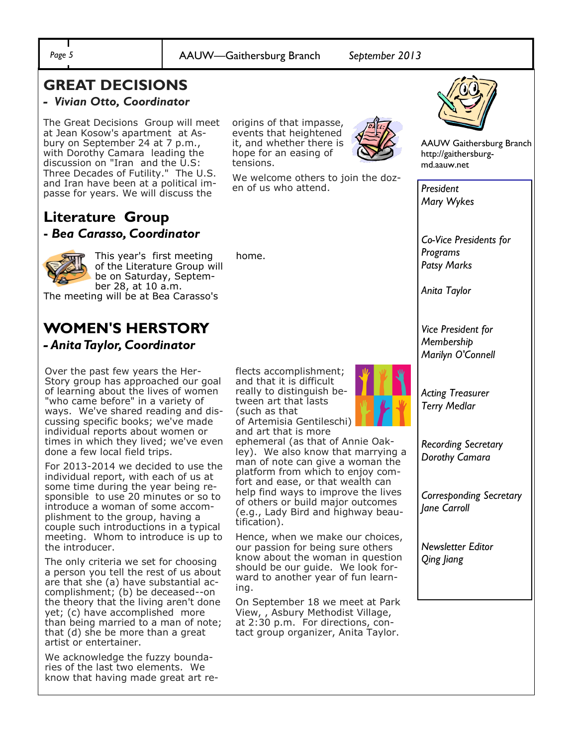home.

## **GREAT DECISIONS**

#### *- Vivian Otto, Coordinator*

The Great Decisions Group will meet at Jean Kosow's apartment at Asbury on September 24 at 7 p.m., with Dorothy Camara leading the discussion on "Iran and the  $\overline{U}.S$ : Three Decades of Futility." The U.S. and Iran have been at a political impasse for years. We will discuss the

#### **Literature Group -** *Bea Carasso, Coordinator*



This year's first meeting of the Literature Group will be on Saturday, September 28, at 10 a.m.

The meeting will be at Bea Carasso's

#### **WOMEN'S HERSTORY** *- Anita Taylor, Coordinator*

Over the past few years the Her-Story group has approached our goal of learning about the lives of women "who came before" in a variety of ways. We've shared reading and discussing specific books; we've made individual reports about women or times in which they lived; we've even done a few local field trips.

For 2013-2014 we decided to use the individual report, with each of us at some time during the year being responsible to use 20 minutes or so to introduce a woman of some accomplishment to the group, having a couple such introductions in a typical meeting. Whom to introduce is up to the introducer.

The only criteria we set for choosing a person you tell the rest of us about are that she (a) have substantial accomplishment; (b) be deceased--on the theory that the living aren't done yet; (c) have accomplished more than being married to a man of note; that (d) she be more than a great artist or entertainer.

We acknowledge the fuzzy boundaries of the last two elements. We know that having made great art reorigins of that impasse, events that heightened it, and whether there is hope for an easing of tensions.

We welcome others to join the dozen of us who attend.



AAUW Gaithersburg Branch http://gaithersburgmd.aauw.net

*President Mary Wykes*

*Co-Vice Presidents for Programs Patsy Marks* 

*Anita Taylor*

*Vice President for Membership Marilyn O'Connell*

*Acting Treasurer Terry Medlar* 

*Recording Secretary Dorothy Camara*

*Corresponding Secretary Jane Carroll* 

*Newsletter Editor Qing Jiang*

flects accomplishment; and that it is difficult really to distinguish between art that lasts (such as that of Artemisia Gentileschi) and art that is more

ephemeral (as that of Annie Oakley). We also know that marrying a man of note can give a woman the platform from which to enjoy comfort and ease, or that wealth can help find ways to improve the lives of others or build major outcomes (e.g., Lady Bird and highway beautification).

Hence, when we make our choices, our passion for being sure others know about the woman in question should be our guide. We look forward to another year of fun learning.

On September 18 we meet at Park View, , Asbury Methodist Village, at 2:30 p.m. For directions, contact group organizer, Anita Taylor.